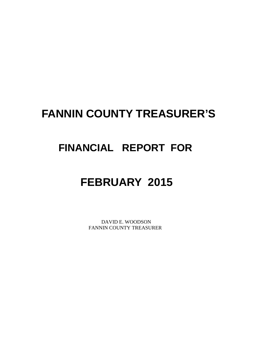# **FANNIN COUNTY TREASURER'S**

# **FINANCIAL REPORT FOR**

# **FEBRUARY 2015**

 DAVID E. WOODSON FANNIN COUNTY TREASURER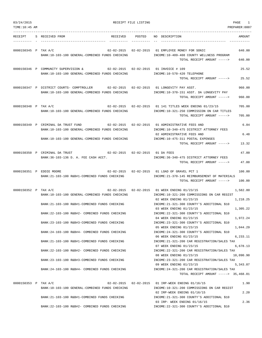| 03/24/2015           |  | RECEIPT FILE LISTING                                                                                                                                                                                                                                                                                                                                                                                                                                                                   | PAGE<br>1        |                                                                                                                                                                                                                                                                                                                                                                                                                                                                                                                                                                                                                                                                                                                                         |                                                                                                           |
|----------------------|--|----------------------------------------------------------------------------------------------------------------------------------------------------------------------------------------------------------------------------------------------------------------------------------------------------------------------------------------------------------------------------------------------------------------------------------------------------------------------------------------|------------------|-----------------------------------------------------------------------------------------------------------------------------------------------------------------------------------------------------------------------------------------------------------------------------------------------------------------------------------------------------------------------------------------------------------------------------------------------------------------------------------------------------------------------------------------------------------------------------------------------------------------------------------------------------------------------------------------------------------------------------------------|-----------------------------------------------------------------------------------------------------------|
| TIME: 10:45 AM       |  |                                                                                                                                                                                                                                                                                                                                                                                                                                                                                        |                  |                                                                                                                                                                                                                                                                                                                                                                                                                                                                                                                                                                                                                                                                                                                                         | PREPARER:0007                                                                                             |
| RECEIPT              |  | RECEIVED<br>S RECEIVED FROM                                                                                                                                                                                                                                                                                                                                                                                                                                                            | POSTED           | NO DESCRIPTION                                                                                                                                                                                                                                                                                                                                                                                                                                                                                                                                                                                                                                                                                                                          | AMOUNT                                                                                                    |
| 0000150345 P TAX A/C |  | BANK:10-103-100 GENERAL-COMBINED FUNDS CHECKING                                                                                                                                                                                                                                                                                                                                                                                                                                        |                  | 02-02-2015  02-02-2015  01 EMPLOYEE MONEY FOR SONIC<br>INCOME:10-409-408 COUNTY WELLNESS PROGRAM<br>TOTAL RECEIPT AMOUNT ----->                                                                                                                                                                                                                                                                                                                                                                                                                                                                                                                                                                                                         | 640.00<br>640.00                                                                                          |
|                      |  | 0000150346 P COMMUNITY SUPERVISION &<br>$02 - 02 - 2015$ 02-02-2015<br>BANK:10-103-100 GENERAL-COMBINED FUNDS CHECKING                                                                                                                                                                                                                                                                                                                                                                 |                  | 01 INVOICE # 109<br>INCOME:10-570-420 TELEPHONE<br>TOTAL RECEIPT AMOUNT ----->                                                                                                                                                                                                                                                                                                                                                                                                                                                                                                                                                                                                                                                          | 25.52<br>25.52                                                                                            |
|                      |  | 0000150347 P DISTRICT COURTS- COMPTROLLER 02-02-2015 02-02-2015<br>BANK:10-103-100 GENERAL-COMBINED FUNDS CHECKING                                                                                                                                                                                                                                                                                                                                                                     |                  | 01 LONGEVITY PAY ASST.<br>INCOME:10-370-151 ASST. DA LONGEVITY PAY<br>TOTAL RECEIPT AMOUNT ----->                                                                                                                                                                                                                                                                                                                                                                                                                                                                                                                                                                                                                                       | 960.00<br>960.00                                                                                          |
| 0000150348 P TAX A/C |  | BANK:10-103-100 GENERAL-COMBINED FUNDS CHECKING                                                                                                                                                                                                                                                                                                                                                                                                                                        |                  | 02-02-2015  02-02-2015  01 141 TITLES WEEK ENDING 01/23/15<br>INCOME:10-321-250 COMMISSION ON CAR TITLES<br>TOTAL RECEIPT AMOUNT ----->                                                                                                                                                                                                                                                                                                                                                                                                                                                                                                                                                                                                 | 705.00<br>705.00                                                                                          |
|                      |  | $02 - 02 - 2015$ $02 - 02 - 2015$<br>0000150349 P CRIMINAL DA TRUST FUND<br>BANK:10-103-100 GENERAL-COMBINED FUNDS CHECKING<br>BANK:10-103-100 GENERAL-COMBINED FUNDS CHECKING                                                                                                                                                                                                                                                                                                         |                  | 01 ADMINISTRATIVE FEES AND<br>INCOME:10-340-475 DISTRICT ATTORNEY FEES<br>02 ADMINISTRATIVE FEES AND<br>INCOME:10-475-311 POSTAL EXPENSES<br>TOTAL RECEIPT AMOUNT ----->                                                                                                                                                                                                                                                                                                                                                                                                                                                                                                                                                                | 6.84<br>6.48<br>13.32                                                                                     |
|                      |  | 0000150350 P CRIMINAL DA TRUST<br>02-02-2015  02-02-2015  01 DA FEES<br>BANK: 36-103-136 D. A. FEE CASH ACCT.                                                                                                                                                                                                                                                                                                                                                                          |                  | INCOME: 36-340-475 DISTRICT ATTORNEY FEES<br>TOTAL RECEIPT AMOUNT ----->                                                                                                                                                                                                                                                                                                                                                                                                                                                                                                                                                                                                                                                                | 47.00<br>47.00                                                                                            |
|                      |  | 02-02-2015<br>0000150351 P EDDIE MOORE<br>BANK:21-103-100 R&B#1-COMBINED FUNDS CHECKING                                                                                                                                                                                                                                                                                                                                                                                                | $02 - 02 - 2015$ | 01 LOAD OF GRAVEL PCT 1<br>INCOME: 21-370-145 REIMBURSEMENT OF MATERIALS<br>TOTAL RECEIPT AMOUNT ----->                                                                                                                                                                                                                                                                                                                                                                                                                                                                                                                                                                                                                                 | 100.00<br>100.00                                                                                          |
| 0000150352 P TAX A/C |  | $02 - 02 - 2015$<br>BANK:10-103-100 GENERAL-COMBINED FUNDS CHECKING<br>BANK: 21-103-100 R&B#1-COMBINED FUNDS CHECKING<br>BANK: 22-103-100 R&B#2- COMBINED FUNDS CHECKING<br>BANK: 23-103-100 R&B#3-COMBINED FUNDS CHECKING<br>BANK: 24-103-100 R&B#4- COMBINED FUNDS CHECKING<br>BANK: 21-103-100 R&B#1-COMBINED FUNDS CHECKING<br>BANK: 22-103-100 R&B#2- COMBINED FUNDS CHECKING<br>BANK: 23-103-100 R&B#3-COMBINED FUNDS CHECKING<br>BANK:24-103-100 R&B#4- COMBINED FUNDS CHECKING | $02 - 02 - 2015$ | 01 WEEK ENDING 01/23/15<br>INCOME:10-321-200 COMMISSIONS ON CAR REGIST<br>02 WEEK ENDING 01/23/15<br>INCOME: 21-321-300 COUNTY'S ADDITIONAL \$10<br>03 WEEK ENDING 01/23/15<br>INCOME: 22-321-300 COUNTY'S ADDITIONAL \$10<br>04 WEEK ENDING 01/23/15<br>INCOME: 23-321-300 COUNTY'S ADDITIONAL \$10<br>05 WEEK ENDING 01/23/15<br>INCOME: 24-321-300 COUNTY'S ADDITIONAL \$10<br>06 WEEK ENDING 01/23/15<br>INCOME: 21-321-200 CAR REGISTRATION/SALES TAX<br>07 WEEK ENDING 01/23/15<br>INCOME: 22-321-200 CAR REGISTRATION/SALES TAX<br>08 WEEK ENDING 01/23/15<br>INCOME: 23-321-200 CAR REGISTRATION/SALES TAX<br>09 WEEK ENDING 01/23/15<br>INCOME: 24-321-200 CAR REGISTRATION/SALES TAX<br>TOTAL RECEIPT AMOUNT -----> 35,468.01 | 1,582.80<br>1,218.25<br>1,305.22<br>1,972.24<br>1,044.29<br>6,233.11<br>6,678.13<br>10,090.90<br>5,343.07 |
| 0000150353 P TAX A/C |  | BANK:10-103-100 GENERAL-COMBINED FUNDS CHECKING<br>BANK: 21-103-100 R&B#1-COMBINED FUNDS CHECKING<br>BANK: 22-103-100 R&B#2- COMBINED FUNDS CHECKING                                                                                                                                                                                                                                                                                                                                   |                  | 02-02-2015  02-02-2015  01 IRP-WEEK ENDING 01/16/15<br>INCOME:10-321-200 COMMISSIONS ON CAR REGIST<br>02 IRP-WEEK ENDING 01/16/15<br>INCOME: 21-321-300 COUNTY'S ADDITIONAL \$10<br>03 IRP- WEEK ENDING 01/16/15<br>INCOME: 22-321-300 COUNTY'S ADDITIONAL \$10                                                                                                                                                                                                                                                                                                                                                                                                                                                                         | 1.90<br>2.20<br>2.36                                                                                      |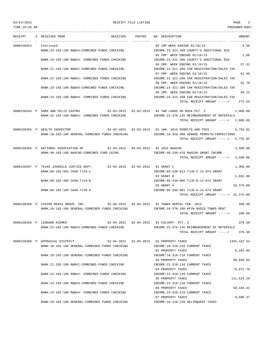TIME:10:45 AM PREPARER:0007

--------------------------------------------------------------------------------------------------------------------------------- RECEIPT S RECEIVED FROM THE RECEIVED POSTED NO DESCRIPTION THE RECEIVED AMOUNT ---------- - ----------------------------------- ---------- ---------- -- ----------------------------------- ----------- 0000150353 Continued 04 IRP-WEEK ENDING 01/16/15 3.56 BANK:23-103-100 R&B#3-COMBINED FUNDS CHECKING INCOME:23-321-300 COUNTY'S ADDITIONAL \$10 05 IRP- WEEK ENDING 01/16/15 1.88 06 IRP- WEEK ENDING 01/16/15 57.31 BANK:21-103-100 R&B#1-COMBINED FUNDS CHECKING INCOME:21-321-200 CAR REGISTRATION/SALES TAX 07 IRP- WEEK ENDING 01/16/15 61.40 BANK:22-103-100 R&B#2- COMBINED FUNDS CHECKING INCOME:22-321-200 CAR REGISTRATION/SALES TAX 08 IRP- WEEK ENDING 01/16/15 92.79 BANK:23-103-100 R&B#3-COMBINED FUNDS CHECKING INCOME:23-321-200 CAR REGISTRATION/SALES TAX 09 IRP- WEEK ENDING 01/16/15 49.13

TOTAL RECEIPT AMOUNT -----> 272.53

TOTAL RECEIPT AMOUNT -----> 2,000.00

BANK:24-103-100 R&B#4- COMBINED FUNDS CHECKING INCOME:24-321-300 COUNTY'S ADDITIONAL \$10 BANK:24-103-100 R&B#4- COMBINED FUNDS CHECKING INCOME:24-321-200 CAR REGISTRATION/SALES TAX

0000150354 P SARA AND FELIX CASTRO 02-03-2015 02-03-2015 01 TWO LOADS OD ROCK PCT. 2 2,000.00 BANK:22-103-100 R&B#2- COMBINED FUNDS CHECKING INCOME:22-370-145 REIMBURSEMENT OF MATERIALS

0000150355 P HEALTH INSPECTOR 02-03-2015 02-03-2015 01 JAN. 2015 PERMITS AND FEES 5,755.02 BANK:10-103-100 GENERAL-COMBINED FUNDS CHECKING INCOME:10-320-300 SEWAGE PERMITS/INSPECTIONS TOTAL RECEIPT AMOUNT -----> 5,755.02

0000150356 P NATIONAL ASSOCIATION OF 02-03-2015 02-03-2015 01 2015 NAACHO 3,500.00 BANK:40-103-100 NAACHO-COMBINED FUND CKING INCOME:40-330-410 NAACHO GRANT INCOME TOTAL RECEIPT AMOUNT -----> 3,500.00

0000150357 P TEXAS JUVENILE JUSTICE DEPT. 02-04-2015 02-04-2015 01 GRANT C 1,308.00 BANK:89-103-991 CASH-TJJD-C 19 CASH-TJJD-C INCOME:89-330-913 TJJD-C-14-074 GRANT 02 GRANT N 1,692.00 BANK:89-103-489 CASH-TJJD-N INCOME:89-330-906 TJJD-N-14-074 GRANT 03 GRANT A 18,375.00 BANK:89-103-189 CASH-TJJD-A INCOME:89-330-901 TJJD-A-14-074 GRANT TOTAL RECEIPT AMOUNT -----> 21,375.00

0000150358 P VISION MEDIA GROUP, INC. 02-04-2015 02-04-2015 01 TOWER RENTAL FEB. 2015 200.00 BANK:10-103-100 GENERAL-COMBINED FUNDS CHECKING INCOME:10-370-100 KFYN-RADIO TOWER RENT TOTAL RECEIPT AMOUNT -----> 200.00

0000150359 P LEONARD RIEMER 02-04-2015 02-04-2015 01 CULVERT- PCT. 3 379.50 BANK:23-103-100 R&B#3-COMBINED FUNDS CHECKING IN THE INCOME:23-370-145 REIMBURSEMENT OF MATERIALS TOTAL RECEIPT AMOUNT -----> 379.50

0000150360 P APPRASIAL DISTRICT 02-04-2015 02-04-2015 01 PROPERTY TAXES 1355,162.54 BANK:10-103-100 GENERAL-COMBINED FUNDS CHECKING INCOME:10-310-110 CURRENT TAXES 02 PROPERTY TAXES 6,284.93 BANK:10-103-100 GENERAL-COMBINED FUNDS CHECKING INCOME:10-310-110 CURRENT TAXES 03 PROPERTY TAXES 68,949.94 BANK:21-103-100 R&B#1-COMBINED FUNDS CHECKING INCOME:21-310-110 CURRENT TAXES 04 PROPERTY TAXES 73,872.70 BANK:22-103-100 R&B#2- COMBINED FUNDS CHECKING INCOME:22-310-110 CURRENT TAXES 05 PROPERTY TAXES 111,624.28 BANK:23-103-100 R&B#3-COMBINED FUNDS CHECKING INCOME:23-310-110 CURRENT TAXES 06 PROPERTY TAXES 59,104.42 BANK:24-103-100 R&B#4- COMBINED FUNDS CHECKING INCOME:24-310-110 CURRENT TAXES 07 PROPERTY TAXES 37 BANK:10-103-100 GENERAL-COMBINED FUNDS CHECKING INCOME:10-310-120 DELINQUENT TAXES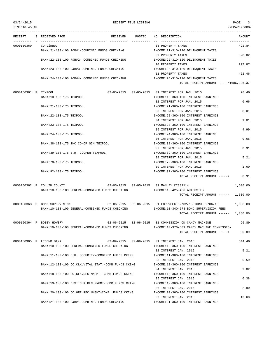| TIME:10:45 AM        |  |                               |                                                     |                 |                                                                               | PREPARER:0007 |
|----------------------|--|-------------------------------|-----------------------------------------------------|-----------------|-------------------------------------------------------------------------------|---------------|
| RECEIPT              |  | S RECEIVED FROM               |                                                     | RECEIVED POSTED | NO DESCRIPTION                                                                | AMOUNT        |
| 0000150360           |  | Continued                     |                                                     |                 | 08 PROPERTY TAXES                                                             | 492.84        |
|                      |  |                               | BANK:21-103-100 R&B#1-COMBINED FUNDS CHECKING       |                 | INCOME: 21-310-120 DELINQUENT TAXES                                           |               |
|                      |  |                               |                                                     |                 | 09 PROPERTY TAXES                                                             | 528.02        |
|                      |  |                               | BANK:22-103-100 R&B#2- COMBINED FUNDS CHECKING      |                 | INCOME: 22-310-120 DELINQUENT TAXES                                           |               |
|                      |  |                               |                                                     |                 | 10 PROPERTY TAXES                                                             | 797.87        |
|                      |  |                               | BANK: 23-103-100 R&B#3-COMBINED FUNDS CHECKING      |                 | INCOME: 23-310-120 DELINQUENT TAXES                                           |               |
|                      |  |                               |                                                     |                 | 11 PROPERTY TAXES                                                             | 422.46        |
|                      |  |                               | BANK:24-103-100 R&B#4- COMBINED FUNDS CHECKING      |                 |                                                                               |               |
|                      |  |                               |                                                     |                 | INCOME: 24-310-120 DELINQUENT TAXES<br>TOTAL RECEIPT AMOUNT ----->1686,926.37 |               |
|                      |  |                               |                                                     |                 |                                                                               |               |
| 0000150361 P TEXPOOL |  |                               |                                                     |                 | 02-05-2015  02-05-2015  01 INTEREST FOR JAN. 2015                             | 20.46         |
|                      |  | BANK:10-103-175 TEXPOOL       |                                                     |                 | INCOME:10-360-100 INTEREST EARNINGS                                           |               |
|                      |  |                               |                                                     |                 | 02 INTEREST FOR JAN. 2015                                                     | 0.66          |
|                      |  | BANK: 21-103-175 TEXPOOL      |                                                     |                 | INCOME: 21-360-100 INTEREST EARNINGS                                          |               |
|                      |  |                               |                                                     |                 | 03 INTEREST FOR JAN. 2015                                                     | 8.01          |
|                      |  | BANK: 22-103-175 TEXPOOL      |                                                     |                 | INCOME: 22-360-100 INTEREST EARNINGS                                          |               |
|                      |  |                               |                                                     |                 | 04 INTEREST FOR JAN. 2015                                                     | 9.01          |
|                      |  | BANK: 23-103-175 TEXPOOL      |                                                     |                 | INCOME: 23-360-100 INTEREST EARNINGS                                          |               |
|                      |  |                               |                                                     |                 | 05 INTEREST FOR JAN. 2015                                                     | 4.99          |
|                      |  | BANK: 24-103-175 TEXPOOL      |                                                     |                 | INCOME: 24-360-100 INTEREST EARNING                                           |               |
|                      |  |                               |                                                     |                 | 06 INTEREST FOR JAN. 2015                                                     | 0.66          |
|                      |  |                               | BANK:38-103-175 IHC CO-OP GIN TEXPOOL               |                 | INCOME: 38-360-100 INTEREST EARNINGS                                          |               |
|                      |  |                               |                                                     |                 | 07 INTEREST FOR JAN. 2015                                                     | 0.31          |
|                      |  |                               | BANK: 39-103-175 B.R. COOPER-TEXPOOL                |                 | INCOME: 39-360-100 INTEREST EARNINGS                                          |               |
|                      |  |                               |                                                     |                 | 08 INTEREST FOR JAN. 2015                                                     | 5.21          |
|                      |  | BANK: 70-103-175 TEXPOOL      |                                                     |                 | INCOME: 70-360-100 INTEREST EARNINGS                                          |               |
|                      |  |                               |                                                     |                 | 09 INTEREST FOR JAN. 2015                                                     | 1.60          |
|                      |  | BANK: 92-103-175 TEXPOOL      |                                                     |                 | INCOME: 92-360-100 INTEREST EARNINGS                                          |               |
|                      |  |                               |                                                     |                 | TOTAL RECEIPT AMOUNT ----->                                                   | 50.91         |
|                      |  |                               |                                                     |                 |                                                                               |               |
|                      |  | 0000150362 P COLLIN COUNTY    | $02-05-2015$ $02-05-2015$ 01 MANLEY CC332114        |                 |                                                                               | 1,500.00      |
|                      |  |                               | BANK:10-103-100 GENERAL-COMBINED FUNDS CHECKING     |                 | INCOME:10-425-466 AUTOPSIES                                                   |               |
|                      |  |                               |                                                     |                 | TOTAL RECEIPT AMOUNT -----> 1,500.00                                          |               |
|                      |  |                               |                                                     |                 |                                                                               |               |
|                      |  | 0000150363 P BOND SUPERVISION |                                                     |                 | 02-06-2015  02-06-2015  01 FOR WEEK  02/02/15 THRU  02/06/15                  | 1,030.00      |
|                      |  |                               | BANK:10-103-100 GENERAL-COMBINED FUNDS CHECKING     |                 | INCOME:10-340-573 BOND SUPERVISION FEES                                       |               |
|                      |  |                               |                                                     |                 | TOTAL RECEIPT AMOUNT -----> 1,030.00                                          |               |
|                      |  | 0000150364 P BOBBY HOWERY     |                                                     |                 | 02-06-2015  02-06-2015  01 COMMISSION ON CANDY MACHINE                        | 90.89         |
|                      |  |                               | BANK:10-103-100 GENERAL-COMBINED FUNDS CHECKING     |                 | INCOME:10-370-509 CANDY MACHINE COMMISSION                                    |               |
|                      |  |                               |                                                     |                 | TOTAL RECEIPT AMOUNT ----->                                                   | 90.89         |
|                      |  |                               |                                                     |                 |                                                                               |               |
|                      |  | 0000150365 P LEGEND BANK      |                                                     |                 | 02-09-2015  02-09-2015  01 INTEREST JAN. 2015                                 | 344.46        |
|                      |  |                               | BANK:10-103-100 GENERAL-COMBINED FUNDS CHECKING     |                 | INCOME:10-360-100 INTEREST EARNINGS                                           |               |
|                      |  |                               |                                                     |                 | 02 INTEREST JAN. 2015                                                         | 5.21          |
|                      |  |                               | BANK:11-103-100 C.H. SECURITY-COMBINED FUNDS CKING  |                 | INCOME:11-360-100 INTEREST EARNINGS                                           |               |
|                      |  |                               |                                                     |                 | 03 INTEREST JAN. 2015                                                         | 0.59          |
|                      |  |                               | BANK:12-103-100 CO.CLK.VITAL STAT.-COMB.FUNDS CKING |                 | INCOME:12-360-100 INTEREST EARNINGS                                           |               |
|                      |  |                               |                                                     |                 | 04 INTEREST JAN. 2015                                                         | 2.02          |
|                      |  |                               | BANK:18-103-100 CO.CLK.REC.MNGMT.-COMB.FUNDS CKING  |                 | INCOME: 18-360-100 INTEREST EARNINGS                                          |               |
|                      |  |                               |                                                     |                 | 05 INTEREST JAN. 2015                                                         | 0.38          |
|                      |  |                               | BANK:19-103-100 DIST.CLK.REC.MNGMT-COMB.FUNDS CKING |                 | INCOME:19-360-100 INTEREST EARNINGS                                           |               |
|                      |  |                               |                                                     |                 | 06 INTEREST JAN. 2015                                                         | 2.90          |
|                      |  |                               | BANK:20-103-100 CO.OFF.REC.MNGMT-COMB. FUNDS CKING  |                 | INCOME: 20-360-100 INTEREST EARNINGS                                          |               |
|                      |  |                               |                                                     |                 | 07 INTEREST JAN. 2015                                                         | 13.60         |
|                      |  |                               | BANK: 21-103-100 R&B#1-COMBINED FUNDS CHECKING      |                 | INCOME: 21-360-100 INTEREST EARNINGS                                          |               |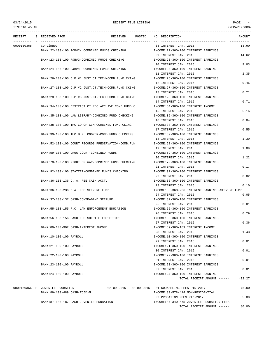---------------------------------------------------------------------------------------------------------------------------------

RECEIPT S RECEIVED FROM RECEIVED POSTED NO DESCRIPTION AMOUNT ---------- - ----------------------------------- ---------- ---------- -- ----------------------------------- ----------- 0000150365 Continued 08 INTEREST JAN. 2015 13.90 BANK:22-103-100 R&B#2- COMBINED FUNDS CHECKING INCOME:22-360-100 INTEREST EARNINGS 09 INTEREST JAN. 2015 14.62 BANK:23-103-100 R&B#3-COMBINED FUNDS CHECKING INCOME:23-360-100 INTEREST EARNINGS 10 INTEREST JAN. 2015 9.03 BANK:24-103-100 R&B#4- COMBINED FUNDS CHECKING INCOME:24-360-100 INTEREST EARNING 11 INTEREST JAN. 2015 2.35 BANK:26-103-100 J.P.#1 JUST.CT.TECH-COMB.FUND CKING INCOME:26-360-100 INTEREST EARNINGS 12 INTEREST JAN. 2015 0.46 BANK:27-103-100 J.P.#2 JUST.CT.TECH-COMB.FUND CKING INCOME:27-360-100 INTEREST EARNINGS 13 INTEREST JAN. 2015 0.21 BANK:28-103-100 J.P.#3 JUST.CT.TECH-COMB.FUND CKING INCOME:28-360-100 INTEREST EARNINGS 14 INTEREST JAN. 2015 0.71 BANK:34-103-100 DISTRICT CT.REC.ARCHIVE COMB.FUND C INCOME:34-360-100 INTEREST INCOME 15 INTEREST JAN. 2015 5.16 BANK:35-103-100 LAW LIBRARY-COMBINED FUND CHECKING INCOME:35-360-100 INTEREST EARNINGS 16 INTEREST JAN. 2015 0.04 BANK:38-103-100 IHC CO-OP GIN-COMBINED FUND CKING INCOME:38-360-100 INTEREST EARNINGS 17 INTEREST JAN. 2015 0.55 BANK:39-103-100 IHC B.R. COOPER-COMB.FUND CHECKING INCOME:39-360-100 INTEREST EARNINGS 18 INTEREST JAN. 2015 1.30 BANK:52-103-100 COURT RECORDS PRESERVATION-COMB.FUN INCOME:52-360-100 INTEREST EARNINGS 19 INTEREST JAN. 2015 1.09 BANK:59-103-100 DRUG COURT-COMBINED FUNDS INCOME:59-360-100 INTEREST EARNINGS 20 INTEREST JAN. 2015 1.22 BANK:70-103-100 RIGHT OF WAY-COMBINED FUND CHECKING **INCOME:70-360-100 INTEREST EARNINGS** 21 INTEREST JAN. 2015 0.17 BANK:92-103-100 STATZER-COMBINED FUNDS CHECKING INCOME:92-360-100 INTEREST EARNINGS 22 INTEREST JAN. 2015 0.02 BANK:36-103-136 D. A. FEE CASH ACCT. INCOME:36-360-100 INTEREST EARNINGS 23 INTEREST JAN. 2015 0.10 BANK:36-103-236 D.A. FEE SEIZURE FUND INCOME:36-360-236 INTEREST EARNINGS-SEIZURE FUND 24 INTEREST JAN. 2015 0.05 BANK:37-103-137 CASH-CONTRABAND SEIZURE INCOME:37-360-100 INTEREST EARNINGS 25 INTEREST JAN. 2015 0.01 BANK:55-103-155 F.C. LAW ENFORCEMENT EDUCATION INCOME:55-360-100 INTEREST EARNINGS 26 INTEREST JAN. 2015 0.29 BANK:56-103-156 CASH-F C SHERIFF FORFEITURE INCOME:56-360-100 INTEREST EARNINGS 27 INTEREST JAN. 2015 0.36 BANK:89-103-992 CASH-INTEREST INCOME INCOME:89-360-189 INTEREST INCOME 28 INTEREST JAN. 2015 1.43 BANK:10-100-100 PAYROLL INCOME:10-360-100 INTEREST EARNINGS 29 INTEREST JAN. 2015 0.01 BANK: 21-100-100 PAYROLL SERVICES AND THE COME INCOME 21-360-100 INTEREST EARNINGS 30 INTEREST JAN. 2015 0.01 BANK:22-100-100 PAYROLL SERIES AND RESOLUTION OF THE SERIES OF THE SERIES OF THE SERIES OF THE SERIES OF THE SERIES OF THE SERIES OF THE SERIES OF THE SERIES OF THE SERIES OF THE SERIES OF THE SERIES OF THE SERIES OF THE S 31 INTEREST JAN. 2015 0.01 BANK:23-100-100 PAYROLL SERIES AND DESCRIPTION OF THE MONE OF THE SERIES AND DESCRIPTION OF THE SERIES AND DESCRIPTION OF THE SERIES AND DESCRIPTION OF THE SERIES OF THE SERIES OF THE SERIES OF THE SERIES OF THE SERIES OF 32 INTEREST JAN. 2015 0.01 BANK:24-100-100 PAYROLL INCOME:24-360-100 INTEREST EARNING TOTAL RECEIPT AMOUNT -----> 422.27 0000150366 P JUVENILE PROBATION 02-09-2015 02-09-2015 01 COUNSELING FEES PID-2017 75.00 BANK:89-103-489 CASH-TJJD-N INCOME:89-578-414 NON-RESIDENTIAL 02 PROBATION FEES PID-2017 5.00 BANK:87-103-187 CASH-JUVENILE PROBATION INCOME:87-340-575 JUVENILE PROBATION FEES TOTAL RECEIPT AMOUNT -----> 80.00

TIME:10:45 AM PREPARER:0007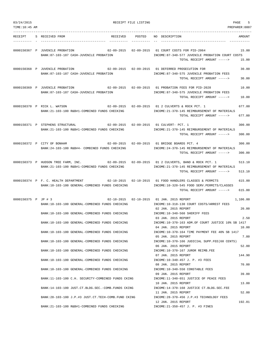| 03/24/2015          |  | RECEIPT FILE LISTING                                                                                                                              | 5<br>PAGE |                                                                                                                                            |                   |
|---------------------|--|---------------------------------------------------------------------------------------------------------------------------------------------------|-----------|--------------------------------------------------------------------------------------------------------------------------------------------|-------------------|
| TIME:10:45 AM       |  |                                                                                                                                                   |           |                                                                                                                                            | PREPARER: 0007    |
|                     |  | RECEIPT S RECEIVED FROM                                                                                                                           |           | RECEIVED POSTED NO DESCRIPTION                                                                                                             | AMOUNT            |
|                     |  | 0000150367 P JUVENILE PROBATION<br>BANK:87-103-187 CASH-JUVENILE PROBATION                                                                        |           | 02-09-2015  02-09-2015  01 COURT COSTS FOR PID-2064<br>INCOME:87-340-577 JUVENILE PROBATION COURT COSTS<br>TOTAL RECEIPT AMOUNT ----->     | 15.00<br>15.00    |
|                     |  | 0000150368 P JUVENILE PROBATION<br>BANK:87-103-187 CASH-JUVENILE PROBATION                                                                        |           | 02-09-2015  02-09-2015  01 DEFERRED PROSECUTION FOR<br>INCOME:87-340-575 JUVENILE PROBATION FEES<br>TOTAL RECEIPT AMOUNT ----->            | 30.00<br>30.00    |
|                     |  | 0000150369 P JUVENILE PROBATION<br>BANK:87-103-187 CASH-JUVENILE PROBATION                                                                        |           | 02-09-2015  02-09-2015  01  PROBATION FEES FOR PID-2028<br>INCOME:87-340-575 JUVENILE PROBATION FEES<br>TOTAL RECEIPT AMOUNT ----->        | 10.00<br>10.00    |
|                     |  | 0000150370 P RICK L. WATSON<br>BANK: 21-103-100 R&B#1-COMBINED FUNDS CHECKING                                                                     |           | 02-09-2015  02-09-2015  01  2  CULVERTS & ROCK PCT. 1<br>INCOME: 21-370-145 REIMBURSEMENT OF MATERIALS<br>TOTAL RECEIPT AMOUNT ----->      | 677.00<br>677.00  |
|                     |  | 0000150371 P STEPHENS STRUCTURAL<br>BANK:21-103-100 R&B#1-COMBINED FUNDS CHECKING                                                                 |           | 02-09-2015 02-09-2015 01 CULVERT- PCT, 1<br>INCOME: 21-370-145 REIMBURSEMENT OF MATERIALS<br>TOTAL RECEIPT AMOUNT ----->                   | 300.00<br>300.00  |
|                     |  | 02-09-2015  02-09-2015  01 BRIDGE BOARDS PCT. 4<br>0000150372 P CITY OF BONHAM<br>BANK: 24-103-100 R&B#4- COMBINED FUNDS CHECKING                 |           | INCOME: 24-370-145 REIMBURSEMENT OF MATERIALS<br>TOTAL RECEIPT AMOUNT ----->                                                               | 300.00<br>300.00  |
|                     |  | 0000150373 P HUDSON TREE FARM, INC. 02-09-2015 02-09-2015 01 2 CULVERTS, BAND & ROCK PCT. 1<br>BANK:21-103-100 R&B#1-COMBINED FUNDS CHECKING      |           | INCOME: 21-370-145 REIMBURSEMENT OF MATERIALS<br>TOTAL RECEIPT AMOUNT ----->                                                               | 513.10<br>513.10  |
|                     |  | 0000150374 P F. C. HEALTH DEPARTMENT<br>BANK:10-103-100 GENERAL-COMBINED FUNDS CHECKING                                                           |           | $02-10-2015$ $02-10-2015$ 01 FOOD HANDLERS CLASSES & PERMITS<br>INCOME:10-320-545 FOOD SERV.PERMITS/CLASSES<br>TOTAL RECEIPT AMOUNT -----> | 615.00<br>615.00  |
| 0000150375 P JP # 3 |  | 02-10-2015  02-10-2015  01 JAN. 2015 REPORT<br>BANK:10-103-100 GENERAL-COMBINED FUNDS CHECKING<br>BANK:10-103-100 GENERAL-COMBINED FUNDS CHECKING |           | INCOME:10-318-130 COURT COSTS/ARREST FEES<br>02 JAN. 2015 REPORT<br>INCOME:10-340-560 SHERIFF FEES                                         | 1,106.00<br>20.00 |
|                     |  | BANK:10-103-100 GENERAL-COMBINED FUNDS CHECKING                                                                                                   |           | 03 JAN. 2015 REPORT<br>INCOME:10-370-163 ADM.OF COURT JUSTICE 10% SB 1417<br>04 JAN. 2015 REPORT                                           | 2.50<br>10.00     |
|                     |  | BANK:10-103-100 GENERAL-COMBINED FUNDS CHECKING<br>BANK:10-103-100 GENERAL-COMBINED FUNDS CHECKING                                                |           | INCOME:10-370-164 TIME PAYMENT FEE 40% SB 1417<br>05 JAN. 2015 REPORT<br>INCOME:10-370-166 JUDICIAL SUPP.FEE(60 CENTS)                     | 7.80              |
|                     |  | BANK:10-103-100 GENERAL-COMBINED FUNDS CHECKING                                                                                                   |           | 06 JAN. 2015 REPORT<br>INCOME:10-370-167 JUROR REIMB.FEE<br>07 JAN. 2015 REPORT                                                            | 52.00<br>144.90   |
|                     |  | BANK:10-103-100 GENERAL-COMBINED FUNDS CHECKING                                                                                                   |           | INCOME:10-340-457 J. P. #3 FEES<br>08 JAN. 2015 REPORT                                                                                     | 70.00             |
|                     |  | BANK:10-103-100 GENERAL-COMBINED FUNDS CHECKING<br>BANK: 11-103-100 C.H. SECURITY-COMBINED FUNDS CKING                                            |           | INCOME:10-340-550 CONSTABLE FEES<br>09 JAN. 2015 REPORT<br>INCOME:11-340-651 JUSTICE OF PEACE FEES                                         | 39.00             |
|                     |  | BANK:14-103-100 JUST.CT.BLDG.SEC.-COMB.FUNDS CKING                                                                                                |           | 10 JAN. 2015 REPORT<br>INCOME:14-370-168 JUSTICE CT.BLDG.SEC.FEE                                                                           | 13.00             |
|                     |  | BANK: 28-103-100 J.P.#3 JUST.CT.TECH-COMB.FUND CKING                                                                                              |           | 11 JAN. 2015 REPORT<br>INCOME: 28-370-456 J.P.#3 TECHNOLOGY FEES<br>12 JAN. 2015 REPORT                                                    | 52.00<br>192.81   |
|                     |  | BANK:21-103-100 R&B#1-COMBINED FUNDS CHECKING                                                                                                     |           | INCOME: 21-350-457 J. P. #3 FINES                                                                                                          |                   |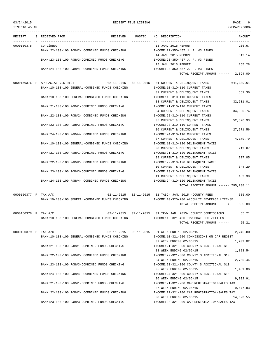TIME:10:45 AM PREPARER:0007 --------------------------------------------------------------------------------------------------------------------------------- RECEIPT S RECEIVED FROM THE RECEIVED POSTED NO DESCRIPTION THE RECEIVED AMOUNT ---------- - ----------------------------------- ---------- ---------- -- ----------------------------------- ----------- 0000150375 Continued 13 JAN. 2015 REPORT 206.57 BANK:22-103-100 R&B#2- COMBINED FUNDS CHECKING INCOME:22-350-457 J. P. #3 FINES 14 JAN. 2015 REPORT 312.14 BANK:23-103-100 R&B#3-COMBINED FUNDS CHECKING INCOME:23-350-457 J. P. #3 FINES 15 JAN. 2015 REPORT 165.28 BANK:24-103-100 R&B#4- COMBINED FUNDS CHECKING INCOME:24-350-457 J. P. #3 FINES TOTAL RECEIPT AMOUNT -----> 2,394.00 0000150376 P APPRASIAL DISTRICT 02-11-2015 02-11-2015 01 CURRENT & DELINQUENT TAXES 641,339.61 BANK:10-103-100 GENERAL-COMBINED FUNDS CHECKING INCOME:10-310-110 CURRENT TAXES 02 CURRENT & DELINQUENT TAXES 361.36 BANK:10-103-100 GENERAL-COMBINED FUNDS CHECKING INCOME:10-310-110 CURRENT TAXES 03 CURRENT & DELINQUENT TAXES 32,631.01 BANK:21-103-100 R&B#1-COMBINED FUNDS CHECKING INCOME:21-310-110 CURRENT TAXES 04 CURRENT & DELINOUENT TAXES 34,960.74 BANK:22-103-100 R&B#2- COMBINED FUNDS CHECKING INCOME:22-310-110 CURRENT TAXES 05 CURRENT & DELINQUENT TAXES 52,826.93 BANK:23-103-100 R&B#3-COMBINED FUNDS CHECKING INCOME:23-310-110 CURRENT TAXES 06 CURRENT & DELINOUENT TAXES 27,971.56 BANK:24-103-100 R&B#4- COMBINED FUNDS CHECKING INCOME:24-310-110 CURRENT TAXES 07 CURRENT & DELINQUENT TAXES 4,179.79 BANK:10-103-100 GENERAL-COMBINED FUNDS CHECKING INCOME:10-310-120 DELINQUENT TAXES 08 CURRENT & DELINOUENT TAXES 212.67 BANK:21-103-100 R&B#1-COMBINED FUNDS CHECKING INCOME:21-310-120 DELINQUENT TAXES 09 CURRENT & DELINQUENT TAXES 227.85 BANK:22-103-100 R&B#2- COMBINED FUNDS CHECKING INCOME:22-310-120 DELINQUENT TAXES 10 CURRENT & DELINQUENT TAXES 344.29 BANK:23-103-100 R&B#3-COMBINED FUNDS CHECKING INCOME:23-310-120 DELINQUENT TAXES 11 CURRENT & DELINQUENT TAXES 182.30 BANK:24-103-100 R&B#4- COMBINED FUNDS CHECKING INCOME:24-310-120 DELINQUENT TAXES TOTAL RECEIPT AMOUNT -----> 795,238.11 0000150377 P TAX A/C 02-11-2015 02-11-2015 01 TABC- JAN. 2015 -COUNTY FEES 585.00 BANK:10-103-100 GENERAL-COMBINED FUNDS CHECKING INCOME:10-320-200 ALCOHLIC BEVERAGE LICENSE TOTAL RECEIPT AMOUNT -----> 585.00 0000150378 P TAX A/C 02-11-2015 02-11-2015 01 TPW- JAN. 2015- COUNTY COMMISSIONS 55.21 BANK:10-103-100 GENERAL-COMBINED FUNDS CHECKING INCOME:10-321-400 TPW BOAT REG./TITLES TOTAL RECEIPT AMOUNT -----> 55.21 0000150379 P TAX A/C 02-11-2015 02-11-2015 01 WEEK ENDING 02/06/15 2,246.80 BANK:10-103-100 GENERAL-COMBINED FUNDS CHECKING INCOME:10-321-200 COMMISSIONS ON CAR REGIST 02 WEEK ENDING 02/06/15 1,702.02 BANK:21-103-100 R&B#1-COMBINED FUNDS CHECKING INCOME:21-321-300 COUNTY'S ADDITIONAL \$10 03 WEEK ENDING 02/06/15 1,823.54 BANK:22-103-100 R&B#2- COMBINED FUNDS CHECKING INCOME:22-321-300 COUNTY'S ADDITIONAL \$10 04 WEEK ENDING 02/06/15 2,755.44 BANK:23-103-100 R&B#3-COMBINED FUNDS CHECKING INCOME:23-321-300 COUNTY'S ADDITIONAL \$10 05 WEEK ENDING 02/06/15 1.459.00 BANK:24-103-100 R&B#4- COMBINED FUNDS CHECKING INCOME:24-321-300 COUNTY'S ADDITIONAL \$10 06 WEEK ENDING 02/06/15 9.032.91 BANK:21-103-100 R&B#1-COMBINED FUNDS CHECKING INCOME:21-321-200 CAR REGISTRATION/SALES TAX 07 WEEK ENDING 02/06/15 9,677.83 BANK:22-103-100 R&B#2- COMBINED FUNDS CHECKING INCOME:22-321-200 CAR REGISTRATION/SALES TAX 08 WEEK ENDING 02/06/15 14,623.55

BANK:23-103-100 R&B#3-COMBINED FUNDS CHECKING INCOME:23-321-200 CAR REGISTRATION/SALES TAX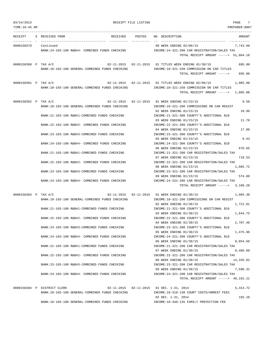| 03/24/2015           |                             |                                                 | RECEIPT FILE LISTING | 7<br>PAGE                                                                            |
|----------------------|-----------------------------|-------------------------------------------------|----------------------|--------------------------------------------------------------------------------------|
| TIME:10:45 AM        |                             |                                                 |                      | PREPARER:0007                                                                        |
|                      | RECEIPT S RECEIVED FROM     |                                                 |                      | RECEIVED POSTED NO DESCRIPTION<br>AMOUNT                                             |
| 0000150379 Continued |                             |                                                 |                      | 09 WEEK ENDING 02/06/15<br>7,743.09                                                  |
|                      |                             | BANK:24-103-100 R&B#4- COMBINED FUNDS CHECKING  |                      | INCOME: 24-321-200 CAR REGISTRATION/SALES TAX                                        |
|                      |                             |                                                 |                      | TOTAL RECEIPT AMOUNT -----> 51,064.18                                                |
| 0000150380 P TAX A/C |                             |                                                 |                      | 02-11-2015 02-11-2015 01 TITLES WEEK ENDING 01/30/15<br>695.00                       |
|                      |                             | BANK:10-103-100 GENERAL-COMBINED FUNDS CHECKING |                      | INCOME:10-321-250 COMMISSION ON CAR TITLES                                           |
|                      |                             |                                                 |                      | TOTAL RECEIPT AMOUNT -----> 695.00                                                   |
| 0000150381 P TAX A/C |                             |                                                 |                      | 1,085.00                                                                             |
|                      |                             | BANK:10-103-100 GENERAL-COMBINED FUNDS CHECKING |                      | INCOME:10-321-250 COMMISSION ON CAR TITLES                                           |
|                      |                             |                                                 |                      | TOTAL RECEIPT AMOUNT -----> 1,085.00                                                 |
| 0000150382 P TAX A/C |                             |                                                 |                      | 02-11-2015  02-11-2015  01 WEEK ENDING 01/23/15<br>9.50                              |
|                      |                             | BANK:10-103-100 GENERAL-COMBINED FUNDS CHECKING |                      | INCOME:10-321-200 COMMISSIONS ON CAR REGIST                                          |
|                      |                             |                                                 |                      | 02 WEEK ENDING 01/23/15<br>10.99                                                     |
|                      |                             | BANK: 21-103-100 R&B#1-COMBINED FUNDS CHECKING  |                      | INCOME: 21-321-300 COUNTY'S ADDITIONAL \$10                                          |
|                      |                             | BANK: 22-103-100 R&B#2- COMBINED FUNDS CHECKING |                      | 11.78<br>03 WEEK ENDING 01/23/15<br>INCOME: 22-321-300 COUNTY'S ADDITIONAL \$10      |
|                      |                             |                                                 |                      | 04 WEEK ENDING 01/23/15<br>17.80                                                     |
|                      |                             | BANK: 23-103-100 R&B#3-COMBINED FUNDS CHECKING  |                      | INCOME: 23-321-300 COUNTY'S ADDITIONAL \$10                                          |
|                      |                             |                                                 |                      | 9.43<br>05 WEEK ENDING 01/23/15                                                      |
|                      |                             | BANK: 24-103-100 R&B#4- COMBINED FUNDS CHECKING |                      | INCOME: 24-321-300 COUNTY'S ADDITIONAL \$10                                          |
|                      |                             |                                                 |                      | 06 WEEK ENDING 01/23/15<br>670.65                                                    |
|                      |                             | BANK: 21-103-100 R&B#1-COMBINED FUNDS CHECKING  |                      | INCOME: 21-321-200 CAR REGISTRATION/SALES TAX<br>07 WEEK ENDING 01/23/15<br>718.53   |
|                      |                             | BANK: 22-103-100 R&B#2- COMBINED FUNDS CHECKING |                      | INCOME: 22-321-200 CAR REGISTRATION/SALES TAX                                        |
|                      |                             |                                                 |                      | 1,085.72<br>08 WEEK ENDING 01/23/15                                                  |
|                      |                             | BANK: 23-103-100 R&B#3-COMBINED FUNDS CHECKING  |                      | INCOME: 23-321-200 CAR REGISTRATION/SALES TAX                                        |
|                      |                             |                                                 |                      | 09 WEEK ENDING 01/23/15<br>574.88                                                    |
|                      |                             | BANK: 24-103-100 R&B#4- COMBINED FUNDS CHECKING |                      | INCOME:24-321-200 CAR REGISTRATION/SALES TAX<br>TOTAL RECEIPT AMOUNT -----> 3,109.28 |
|                      |                             |                                                 |                      |                                                                                      |
| 0000150383 P TAX A/C |                             |                                                 |                      | 02-11-2015  02-11-2015  01 WEEK ENDING 01/30/15<br>1,065.30                          |
|                      |                             | BANK:10-103-100 GENERAL-COMBINED FUNDS CHECKING |                      | INCOME:10-321-200 COMMISSIONS ON CAR REGIST                                          |
|                      |                             | BANK: 21-103-100 R&B#1-COMBINED FUNDS CHECKING  |                      | 02 WEEK ENDING 01/30/15<br>1,721.81<br>INCOME: 21-321-300 COUNTY'S ADDITIONAL \$10   |
|                      |                             |                                                 |                      | 1,844.75<br>03 WEEK ENDING 01/30/15                                                  |
|                      |                             | BANK:22-103-100 R&B#2- COMBINED FUNDS CHECKING  |                      | INCOME: 22-321-300 COUNTY'S ADDITIONAL \$10                                          |
|                      |                             |                                                 |                      | 04 WEEK ENDING 01/30/15<br>2,787.48                                                  |
|                      |                             | BANK: 23-103-100 R&B#3-COMBINED FUNDS CHECKING  |                      | INCOME: 23-321-300 COUNTY'S ADDITIONAL \$10                                          |
|                      |                             | BANK:24-103-100 R&B#4- COMBINED FUNDS CHECKING  |                      | 05 WEEK ENDING 01/30/15<br>1,475.96<br>INCOME: 24-321-300 COUNTY'S ADDITIONAL \$10   |
|                      |                             |                                                 |                      | 06 WEEK ENDING 01/30/15<br>8,854.69                                                  |
|                      |                             | BANK: 21-103-100 R&B#1-COMBINED FUNDS CHECKING  |                      | INCOME: 21-321-200 CAR REGISTRATION/SALES TAX                                        |
|                      |                             |                                                 |                      | 07 WEEK ENDING 01/30/15<br>9,486.89                                                  |
|                      |                             | BANK: 22-103-100 R&B#2- COMBINED FUNDS CHECKING |                      | INCOME: 22-321-200 CAR REGISTRATION/SALES TAX                                        |
|                      |                             | BANK: 23-103-100 R&B#3-COMBINED FUNDS CHECKING  |                      | 08 WEEK ENDING 01/30/15<br>14,335.02                                                 |
|                      |                             |                                                 |                      | INCOME: 23-321-200 CAR REGISTRATION/SALES TAX<br>09 WEEK ENDING 01/30/15<br>7,590.31 |
|                      |                             | BANK: 24-103-100 R&B#4- COMBINED FUNDS CHECKING |                      | INCOME: 24-321-200 CAR REGISTRATION/SALES TAX                                        |
|                      |                             |                                                 |                      | TOTAL RECEIPT AMOUNT -----> 49,162.21                                                |
|                      | 0000150384 P DISTRICT CLERK |                                                 |                      | 02-11-2015  02-11-2015  01 DEC. 1-31, 2014<br>5,414.72                               |
|                      |                             | BANK:10-103-100 GENERAL-COMBINED FUNDS CHECKING |                      | INCOME:10-318-130 COURT COSTS/ARREST FEES                                            |
|                      |                             |                                                 |                      | 165.10<br>02 DEC. $1-31$ , 2014                                                      |
|                      |                             | BANK:10-103-100 GENERAL-COMBINED FUNDS CHECKING |                      | INCOME:10-340-135 FAMILY PROTECTION FEE                                              |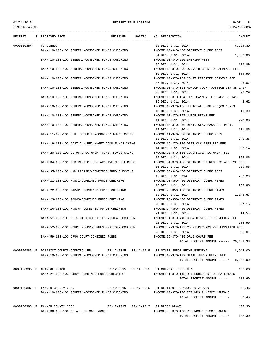## 03/24/2015 RECEIPT FILE LISTING PAGE 8 TIME:10:45 AM PREPARER:0007

--------------------------------------------------------------------------------------------------------------------------------- RECEIPT S RECEIVED FROM THE RECEIVED POSTED NO DESCRIPTION THE RECEIVED AMOUNT ---------- - ----------------------------------- ---------- ---------- -- ----------------------------------- ----------- 0000150384 Continued 6.394.39 BANK:10-103-100 GENERAL-COMBINED FUNDS CHECKING INCOME:10-340-450 DISTRICT CLERK FEES 04 DEC. 1-31, 2014 1,606.86 BANK:10-103-100 GENERAL-COMBINED FUNDS CHECKING INCOME:10-340-560 SHERIFF FEES 05 DEC. 1-31, 2014 129.99 BANK:10-103-100 GENERAL-COMBINED FUNDS CHECKING INCOME:10-340-600 D.C.6TH COURT OF APPEALS FEE 06 DEC. 1-31, 2014 389.99 BANK:10-103-100 GENERAL-COMBINED FUNDS CHECKING INCOME:10-370-162 COURT REPORTER SERVICE FEE 07 DEC. 1-31, 2014 23.07 BANK:10-103-100 GENERAL-COMBINED FUNDS CHECKING INCOME:10-370-163 ADM.OF COURT JUSTICE 10% SB 1417 08 DEC. 1-31, 2014 92.29 BANK:10-103-100 GENERAL-COMBINED FUNDS CHECKING INCOME:10-370-164 TIME PAYMENT FEE 40% SB 1417 09 DEC. 1-31, 2014 2.62 BANK:10-103-100 GENERAL-COMBINED FUNDS CHECKING INCOME:10-370-166 JUDICIAL SUPP.FEE(60 CENTS) 10 DEC. 1-31, 2014 19.39 BANK:10-103-100 GENERAL-COMBINED FUNDS CHECKING IN THE INCOME:10-370-167 JUROR REIMB.FEE 11 DEC. 1-31, 2014 220.00 BANK:10-103-100 GENERAL-COMBINED FUNDS CHECKING INCOME:10-370-450 DIST. CLK. PASSPORT PHOTO 12 DEC. 1-31, 2014 171.85 BANK:11-103-100 C.H. SECURITY-COMBINED FUNDS CKING INCOME:11-340-650 DISTRICT CLERK FEES 13 DEC. 1-31, 2014 241.36 BANK:19-103-100 DIST.CLK.REC.MNGMT-COMB.FUNDS CKING INCOME:19-370-136 DIST.CLK.PRES.REC.FEE 14 DEC. 1-31, 2014 680.14 BANK:20-103-100 CO.OFF.REC.MNGMT-COMB. FUNDS CKING INCOME:20-370-135 CO.OFFICE REC.MNGMT.FEE 15 DEC. 1-31, 2014 355.06 BANK:34-103-100 DISTRICT CT.REC.ARCHIVE COMB.FUND C INCOME:34-370-450 DISTRICT CT.RECORDS ARCHIVE FEE 16 DEC. 1-31, 2014 909.98 BANK:35-103-100 LAW LIBRARY-COMBINED FUND CHECKING INCOME:35-340-450 DISTRICT CLERK FEES 17 DEC. 1-31 2014 708.29 BANK:21-103-100 R&B#1-COMBINED FUNDS CHECKING INCOME:21-350-450 DISTRICT CLERK FINES 18 DEC. 1-31, 2014 758.86 BANK:22-103-100 R&B#2- COMBINED FUNDS CHECKING INCOME:22-350-450 DISTRICT CLERK FINES 19 DEC. 1-31, 2014 1,146.67 BANK:23-103-100 R&B#3-COMBINED FUNDS CHECKING INCOME:23-350-450 DISTRICT CLERK FINES 20 DEC. 1-31, 2014 607.16 BANK:24-103-100 R&B#4- COMBINED FUNDS CHECKING INCOME:24-350-450 DISTRICT CLERK FINES 21 DEC. 1-31, 2014 14.54 BANK:51-103-100 CO.& DIST.COURT TECHNOLOGY-COMB.FUN INCOME:51-370-440 CO.& DIST.CT.TECHNOLOGY FEE 22 DEC. 1-31, 2014 284.99 BANK:52-103-100 COURT RECORDS PRESERVATION-COMB.FUN INCOME:52-370-133 COURT RECORDS PRESERVATION FEE 23 DEC. 1-31, 2014 96.01 BANK:59-103-100 DRUG COURT-COMBINED FUNDS INCOME:59-370-425 DRUG COURT FEE TOTAL RECEIPT AMOUNT -----> 20,433.33 0000150385 P DISTRICT COURTS-COMPTROLLER 02-12-2015 02-12-2015 01 STATE JUROR REIMBURSEMENT 8,942.00 BANK:10-103-100 GENERAL-COMBINED FUNDS CHECKING INCOME:10-370-139 STATE JUROR REIMB.FEE TOTAL RECEIPT AMOUNT -----> 8,942.00 0000150386 P CITY OF ECTOR 02-12-2015 02-12-2015 01 CULVERT- PCT. # 1 183.60 BANK:21-103-100 R&B#1-COMBINED FUNDS CHECKING INCOME:21-370-145 REIMBURSEMENT OF MATERIALS TOTAL RECEIPT AMOUNT -----> 183.60 0000150387 P FANNIN COUNTY CSCD 02-12-2015 02-12-2015 01 RESTITUTION CAUSE # J19729 32.45 BANK:10-103-100 GENERAL-COMBINED FUNDS CHECKING INCOME:10-370-130 REFUNDS & MISCELLANEOUS TOTAL RECEIPT AMOUNT -----> 32.45 0000150388 P FANNIN COUNTY CSCD 02-12-2015 02-12-2015 01 BLOOD DRAWS 102.30 BANK:36-103-136 D. A. FEE CASH ACCT. INCOME:36-370-130 REFUNDS & MISCELLANEOUS TOTAL RECEIPT AMOUNT -----> 102.30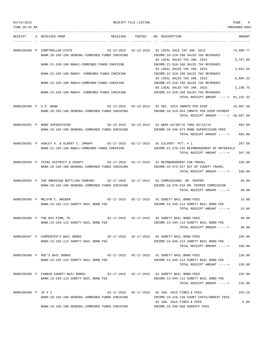TIME:10:45 AM PREPARER:0007

--------------------------------------------------------------------------------------------------------------------------------- RECEIPT S RECEIVED FROM THE RECEIVED POSTED NO DESCRIPTION THE RECEIVED AMOUNT ---------- - ----------------------------------- ---------- ---------- -- ----------------------------------- ----------- 0000150389 P COMPTROLLER-STATE 02-13-2015 02-13-2015 01 LOCAL SALE TAX JAN. 2015 74,089.77 BANK:10-103-100 GENERAL-COMBINED FUNDS CHECKING INCOME:10-318-160 SALES TAX REVENUES 02 LOCAL SALES TAX JAN. 2015 3,767.89 BANK:21-103-100 R&B#1-COMBINED FUNDS CHECKING INCOME:21-318-160 SALES TAX REVENUES 03 LOCAL SALES TAX JAN. 2015 4,041.59 BANK:22-103-100 R&B#2- COMBINED FUNDS CHECKING INCOME:22-318-160 SALES TAX REVENUES 04 LOCAL SALES TAX JAN. 2015 6,094.32 BANK:23-103-100 R&B#3-COMBINED FUNDS CHECKING INCOME:23-318-160 SALES TAX REVENUES 05 LOCAL SALES TAX JAN. 2015 3,238.75 BANK:24-103-100 R&B#4- COMBINED FUNDS CHECKING INCOME:24-318-160 SALES TAX REVENUES TOTAL RECEIPT AMOUNT -----> 91,232.32 0000150390 P U.S. BANK 02-13-2015 02-13-2015 01 DEC. 2014 INMATE PER DIEM 28,607.50 BANK:10-103-100 GENERAL-COMBINED FUNDS CHECKING INCOME:10-319-553 INMATE PER DIEM PAYMENT TOTAL RECEIPT AMOUNT -----> 28,607.50 0000150391 P BOND SUPERVISION 02-13-2015 02-13-2015 01 WEEK 02/09/15 THRU 02/13/15 603.00 BANK:10-103-100 GENERAL-COMBINED FUNDS CHECKING INCOME:10-340-573 BOND SUPERVISION FEES TOTAL RECEIPT AMOUNT -----> 603.00 0000150392 P ASHLEY A. & ALBERT C. IMHOFF 02-17-2015 02-17-2015 01 CULVERT- PCT. # 1 287.50 BANK:21-103-100 R&B#1-COMBINED FUNDS CHECKING INCOME:21-370-145 REIMBURSEMENT OF MATERIALS TOTAL RECEIPT AMOUNT -----> 287.50 0000150393 P TEXAS DISTRICT & COUNTY 02-17-2015 02-17-2015 01 REIMBURSEMENT FOR TRAVEL 220.00 BANK:10-103-100 GENERAL-COMBINED FUNDS CHECKING INCOME:10-475-427 OUT OF COUNTY TRAVEL TOTAL RECEIPT AMOUNT -----> 220.00 0000150394 P THE AMERICAN BOTTLING COMPANY 02-17-2015 02-17-2015 01 COMMISSIONS- DR. PEPPER 40.00 BANK:10-103-100 GENERAL-COMBINED FUNDS CHECKING INCOME:10-370-510 DR. PEPPER COMMISSION TOTAL RECEIPT AMOUNT -----> 40.00 0000150395 P MELVYN C. BRUDER 02-17-2015 02-17-2015 01 SURETY BAIL BOND FEES 15.00 BANK:13-103-113 SURETY BAIL BOND FEE INCOME:13-345-113 SURETY BAIL BOND FEE TOTAL RECEIPT AMOUNT -----> 15.00 0000150396 P THE NIX FIRM, PC 02-17-2015 02-17-2015 01 SURETY BAIL BOND FEES 30.00 BANK:13-103-113 SURETY BAIL BOND FEE INCOME:13-345-113 SURETY BAIL BOND FEE TOTAL RECEIPT AMOUNT -----> 30.00 0000150397 P CARPENTER'S BAIL BONDS 02-17-2015 02-17-2015 01 SURETY BAIL BOND FEES 195.00 BANK:13-103-113 SURETY BAIL BOND FEE INCOME:13-345-113 SURETY BAIL BOND FEE TOTAL RECEIPT AMOUNT -----> 195.00 0000150398 P DOC'S BAIL BONDS 02-17-2015 02-17-2015 01 SURETY BAIL BOND FEES 120.00 BANK:13-103-113 SURETY BAIL BOND FEE **INCOME:13-345-113 SURETY BAIL BOND FEE** TOTAL RECEIPT AMOUNT -----> 120.00 0000150399 P FANNIN COUNTY BAIL BONDS 02-17-2015 02-17-2015 01 SURETY BAIL BOND FEES 225.00 BANK:13-103-113 SURETY BAIL BOND FEE **INCOME:13-345-113 SURETY BAIL BOND FEE**  $T$ OTAL RECEIPT AMOUNT  $--- 225.00$ 0000150400 P JP # 2 02-17-2015 02-17-2015 01 JAN. 2015 FINES & FEES 243.16 BANK:10-103-100 GENERAL-COMBINED FUNDS CHECKING INCOME:10-318-130 COURT COSTS/ARREST FEES 02 JAN. 2015 FINES & FEES 5.00

BANK:10-103-100 GENERAL-COMBINED FUNDS CHECKING **INCOME:10-340-560 SHERIFF FEES**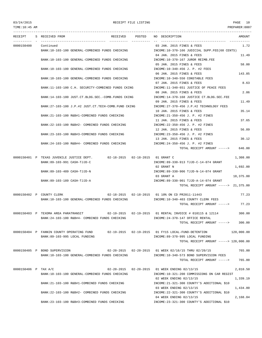TIME:10:45 AM PREPARER:0007

|                      | RECEIPT S RECEIVED FROM<br>RECEIVED POSTED NO DESCRIPTION                  | AMOUNT                                                                                |
|----------------------|----------------------------------------------------------------------------|---------------------------------------------------------------------------------------|
|                      | -----------                                                                |                                                                                       |
| 0000150400 Continued |                                                                            | 1.72<br>03 JAN. 2015 FINES & FEES                                                     |
|                      | BANK:10-103-100 GENERAL-COMBINED FUNDS CHECKING                            | INCOME:10-370-166 JUDICIAL SUPP.FEE(60 CENTS)                                         |
|                      |                                                                            | 11.49<br>04 JAN. 2015 FINES & FEES                                                    |
|                      | BANK:10-103-100 GENERAL-COMBINED FUNDS CHECKING                            | INCOME:10-370-167 JUROR REIMB.FEE                                                     |
|                      |                                                                            | 58.00<br>05 JAN. 2015 FINES & FEES                                                    |
|                      | BANK:10-103-100 GENERAL-COMBINED FUNDS CHECKING                            | INCOME:10-340-456 J. P. #2 FEES<br>143.85                                             |
|                      | BANK:10-103-100 GENERAL-COMBINED FUNDS CHECKING                            | 06 JAN. 2015 FINES & FEES<br>INCOME:10-340-550 CONSTABLE FEES                         |
|                      |                                                                            | 8.63<br>07 JAN. 2015 FINES & FEES                                                     |
|                      | BANK:11-103-100 C.H. SECURITY-COMBINED FUNDS CKING                         | INCOME:11-340-651 JUSTICE OF PEACE FEES                                               |
|                      |                                                                            | 2.86<br>08 JAN. 2015 FINES & FEES                                                     |
|                      | BANK:14-103-100 JUST.CT.BLDG.SEC.-COMB.FUNDS CKING                         | INCOME:14-370-168 JUSTICE CT.BLDG.SEC.FEE                                             |
|                      |                                                                            | 09 JAN. 2015 FINES & FEES<br>11.49                                                    |
|                      | BANK:27-103-100 J.P.#2 JUST.CT.TECH-COMB.FUND CKING                        | INCOME: 27-370-456 J.P.#2 TECHNOLOGY FEES                                             |
|                      |                                                                            | 35.14<br>10 JAN. 2015 FINES & FEES                                                    |
|                      | BANK:21-103-100 R&B#1-COMBINED FUNDS CHECKING                              | INCOME:21-350-456 J. P. #2 FINES                                                      |
|                      |                                                                            | 37.65<br>11 JAN. 2015 FINES & FEES                                                    |
|                      | BANK: 22-103-100 R&B#2- COMBINED FUNDS CHECKING                            | INCOME: 22-350-456 J. P. #2 FINES                                                     |
|                      |                                                                            | 56.89<br>12 JAN. 2015 FINES & FEES                                                    |
|                      | BANK:23-103-100 R&B#3-COMBINED FUNDS CHECKING                              | INCOME:23-350-456 J. P. #2 FINES                                                      |
|                      |                                                                            | 30.12<br>13 JAN. 2015 FINES & FEES                                                    |
|                      | BANK:24-103-100 R&B#4- COMBINED FUNDS CHECKING                             | INCOME:24-350-456 J. P. #2 FINES                                                      |
|                      |                                                                            | TOTAL RECEIPT AMOUNT -----><br>646.00                                                 |
|                      | 0000150401 P TEXAS JUVENILE JUSTICE DEPT. 02-18-2015 02-18-2015 01 GRANT C | 1,308.00                                                                              |
|                      | BANK:89-103-991 CASH-TJJD-C                                                | INCOME:89-330-913 TJJD-C-14-074 GRANT                                                 |
|                      |                                                                            | 02 GRANT N<br>1,692.00                                                                |
|                      | BANK:89-103-489 CASH-TJJD-N                                                | INCOME:89-330-906 TJJD-N-14-074 GRANT                                                 |
|                      |                                                                            | 03 GRANT A<br>18,375.00                                                               |
|                      | BANK:89-103-189 CASH-TJJD-A                                                | INCOME:89-330-901 TJJD-A-14-074 GRANT                                                 |
|                      |                                                                            | TOTAL RECEIPT AMOUNT -----> 21,375.00                                                 |
|                      |                                                                            |                                                                                       |
|                      | 0000150402 P COUNTY CLERK                                                  | 02-18-2015  02-18-2015  01  10%  ON CD PR2011-11443<br>77.23                          |
|                      | BANK:10-103-100 GENERAL-COMBINED FUNDS CHECKING                            | INCOME:10-340-403 COUNTY CLERK FEES                                                   |
|                      |                                                                            | 77.23<br>TOTAL RECEIPT AMOUNT ----->                                                  |
|                      |                                                                            |                                                                                       |
|                      | 0000150403 P TEXOMA AREA PARATRANSIT                                       | 02-19-2015  02-19-2015  01 RENTAL INVOICE # 010115 & 12114<br>300.00                  |
|                      | BANK:24-103-100 R&B#4- COMBINED FUNDS CHECKING                             | INCOME: 24-370-147 OFFICE RENTAL                                                      |
|                      |                                                                            | 300.00<br>TOTAL RECEIPT AMOUNT ----->                                                 |
|                      |                                                                            |                                                                                       |
|                      | 0000150404 P FANNIN COUNTY OPERATING FUND<br>BANK:89-103-995 LOCAL FUNDING | 02-19-2015   02-19-2015   01   FY15                LOCAL-FUND-DETENTION<br>120,000.00 |
|                      |                                                                            | INCOME:89-370-995 LOCAL FUNDING<br>TOTAL RECEIPT AMOUNT -----> 120,000.00             |
|                      |                                                                            |                                                                                       |
|                      | 0000150405 P BOND SUPERVISION                                              | 02-20-2015  02-20-2015  01 WEEK 02/16/15 THRU 02/20/15<br>765.00                      |
|                      | BANK:10-103-100 GENERAL-COMBINED FUNDS CHECKING                            | INCOME:10-340-573 BOND SUPERVISION FEES                                               |
|                      |                                                                            | 765.00<br>TOTAL RECEIPT AMOUNT ----->                                                 |
|                      |                                                                            |                                                                                       |
| 0000150406 P TAX A/C |                                                                            | 02-20-2015  02-20-2015  01 WEEK ENDING 02/13/15<br>2,010.50                           |
|                      | BANK:10-103-100 GENERAL-COMBINED FUNDS CHECKING                            | INCOME:10-321-200 COMMISSIONS ON CAR REGIST                                           |
|                      |                                                                            | 02 WEEK ENDING 02/13/15<br>1,339.19                                                   |
|                      | BANK:21-103-100 R&B#1-COMBINED FUNDS CHECKING                              | INCOME: 21-321-300 COUNTY'S ADDITIONAL \$10                                           |
|                      |                                                                            | 03 WEEK ENDING 02/13/15<br>1,434.80                                                   |
|                      | BANK: 22-103-100 R&B#2- COMBINED FUNDS CHECKING                            | INCOME: 22-321-300 COUNTY'S ADDITIONAL \$10                                           |
|                      |                                                                            | 2,168.04<br>04 WEEK ENDING 02/13/15                                                   |
|                      | BANK: 23-103-100 R&B#3-COMBINED FUNDS CHECKING                             | INCOME: 23-321-300 COUNTY'S ADDITIONAL \$10                                           |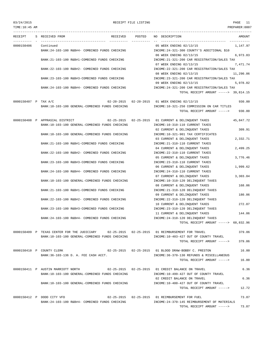TIME:10:45 AM PREPARER:0007

## 03/24/2015 RECEIPT FILE LISTING PAGE 11

---------------------------------------------------------------------------------------------------------------------------------

RECEIPT S RECEIVED FROM THE RECEIVED POSTED NO DESCRIPTION THE RECEIVED AMOUNT ---------- - ----------------------------------- ---------- ---------- -- ----------------------------------- ----------- 0000150406 Continued 05 WEEK ENDING 02/13/15 1,147.97 BANK:24-103-100 R&B#4- COMBINED FUNDS CHECKING INCOME:24-321-300 COUNTY'S ADDITIONAL \$10 06 WEEK ENDING 02/13/15 6,973.83 BANK:21-103-100 R&B#1-COMBINED FUNDS CHECKING INCOME:21-321-200 CAR REGISTRATION/SALES TAX 07 WEEK ENDING 02/13/15 7.471.74 BANK:22-103-100 R&B#2- COMBINED FUNDS CHECKING INCOME:22-321-200 CAR REGISTRATION/SALES TAX 08 WEEK ENDING 02/13/15 11,290.06 BANK:23-103-100 R&B#3-COMBINED FUNDS CHECKING INCOME:23-321-200 CAR REGISTRATION/SALES TAX 09 WEEK ENDING 02/13/15 5,978.02 BANK:24-103-100 R&B#4- COMBINED FUNDS CHECKING INCOME:24-321-200 CAR REGISTRATION/SALES TAX TOTAL RECEIPT AMOUNT -----> 39,814.15 0000150407 P TAX A/C 02-20-2015 02-20-2015 01 WEEK ENDING 02/13/15 930.00 BANK:10-103-100 GENERAL-COMBINED FUNDS CHECKING INCOME:10-321-250 COMMISSION ON CAR TITLES TOTAL RECEIPT AMOUNT -----> 930.00 0000150408 P APPRASIAL DISTRICT 02-25-2015 02-25-2015 01 CURRENT & DELINQUENT TAXES 45,847.72 BANK:10-103-100 GENERAL-COMBINED FUNDS CHECKING INCOME:10-310-110 CURRENT TAXES 02 CURRENT & DELINOUENT TAXES 309.91 BANK:10-103-100 GENERAL-COMBINED FUNDS CHECKING INCOME:10-321-901 TAX CERTIFICATES 03 CURRENT & DELINQUENT TAXES 2,332.71 BANK:21-103-100 R&B#1-COMBINED FUNDS CHECKING INCOME:21-310-110 CURRENT TAXES 04 CURRENT & DELINQUENT TAXES 2,499.25 BANK:22-103-100 R&B#2- COMBINED FUNDS CHECKING INCOME:22-310-110 CURRENT TAXES 05 CURRENT & DELINQUENT TAXES 3,776.46 BANK:23-103-100 R&B#3-COMBINED FUNDS CHECKING INCOME:23-310-110 CURRENT TAXES 06 CURRENT & DELINQUENT TAXES 1,999.62 BANK:24-103-100 R&B#4- COMBINED FUNDS CHECKING INCOME:24-310-110 CURRENT TAXES 07 CURRENT & DELINQUENT TAXES 3,303.04 BANK:10-103-100 GENERAL-COMBINED FUNDS CHECKING INCOME:10-310-120 DELINOUENT TAXES 08 CURRENT & DELINQUENT TAXES 168.06 BANK:21-103-100 R&B#1-COMBINED FUNDS CHECKING INCOME:21-310-120 DELINQUENT TAXES 09 CURRENT & DELINQUENT TAXES 180.06 BANK:22-103-100 R&B#2- COMBINED FUNDS CHECKING INCOME:22-310-120 DELINQUENT TAXES 10 CURRENT & DELINQUENT TAXES 272.07 BANK:23-103-100 R&B#3-COMBINED FUNDS CHECKING INCOME:23-310-120 DELINQUENT TAXES 11 CURRENT & DELINQUENT TAXES 144.06 BANK:24-103-100 R&B#4- COMBINED FUNDS CHECKING INCOME:24-310-120 DELINQUENT TAXES TOTAL RECEIPT AMOUNT -----> 60,832.96 0000150409 P TEXAS CENTER FOR THE JUDICIARY 02-25-2015 02-25-2015 01 REIMBURSEMENT FOR TRAVEL 379.06 BANK:10-103-100 GENERAL-COMBINED FUNDS CHECKING INCOME:10-403-427 OUT OF COUNTY TRAVEL TOTAL RECEIPT AMOUNT -----> 379.06 0000150410 P COUNTY CLERK 02-25-2015 02-25-2015 01 BLOOD DRAW-BOBBY C. PRESTON 16.00 BANK:36-103-136 D. A. FEE CASH ACCT. INCOME:36-370-130 REFUNDS & MISCELLANEOUS TOTAL RECEIPT AMOUNT -----> 16.00 0000150411 P AUSTIN MARRIOTT NORTH 02-25-2015 02-25-2015 01 CREDIT BALANCE ON TRAVEL 6.36 BANK:10-103-100 GENERAL-COMBINED FUNDS CHECKING INCOME:10-499-427 OUT OF COUNTY TRAVEL 02 CREDIT BALANCE ON TRAVEL 6.36 BANK:10-103-100 GENERAL-COMBINED FUNDS CHECKING INCOME:10-400-427 OUT OF COUNTY TRAVEL TOTAL RECEIPT AMOUNT -----> 12.72 0000150412 P DODD CITY VFD 02-25-2015 02-25-2015 01 REIMBURSEMENT FOR FUEL 73.87

BANK:24-103-100 R&B#4- COMBINED FUNDS CHECKING INCOME:24-370-145 REIMBURSEMENT OF MATERIALS TOTAL RECEIPT AMOUNT -----> 73.87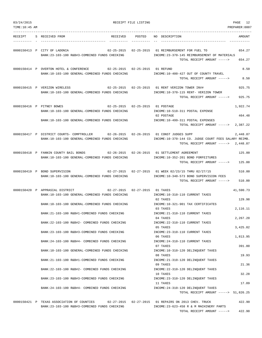| 03/24/2015<br>TIME: 10:45 AM |                                                                                                                                                                      | RECEIPT FILE LISTING | 12<br>PAGE<br>PREPARER: 0007                                                                                                     |
|------------------------------|----------------------------------------------------------------------------------------------------------------------------------------------------------------------|----------------------|----------------------------------------------------------------------------------------------------------------------------------|
|                              |                                                                                                                                                                      |                      |                                                                                                                                  |
| RECEIPT                      | S RECEIVED FROM<br>RECEIVED                                                                                                                                          | POSTED               | NO DESCRIPTION<br>AMOUNT                                                                                                         |
|                              | 0000150413 P CITY OF LADONIA<br>$02 - 25 - 2015$<br>BANK: 23-103-100 R&B#3-COMBINED FUNDS CHECKING                                                                   | $02 - 25 - 2015$     | 01 REIMBURSEMENT FOR FUEL TO<br>654.27<br>INCOME: 23-370-145 REIMBURSEMENT OF MATERIALS<br>TOTAL RECEIPT AMOUNT -----><br>654.27 |
|                              | 0000150414 P OVERTON HOTEL & CONFERENCE<br>02-25-2015  02-25-2015<br>BANK:10-103-100 GENERAL-COMBINED FUNDS CHECKING                                                 |                      | 01 REFUND<br>8.50<br>INCOME:10-400-427 OUT OF COUNTY TRAVEL                                                                      |
|                              | 0000150415 P VERIZON WIRELESS                                                                                                                                        |                      | TOTAL RECEIPT AMOUNT -----><br>8.50<br>02-25-2015  02-25-2015  01 RENT VERIZON TOWER INV#<br>925.75                              |
|                              | BANK:10-103-100 GENERAL-COMBINED FUNDS CHECKING                                                                                                                      |                      | INCOME:10-370-115 RENT- VERIZON TOWER<br>925.75<br>TOTAL RECEIPT AMOUNT ----->                                                   |
|                              | $02 - 25 - 2015$ $02 - 25 - 2015$<br>0000150416 P PITNEY BOWES<br>BANK:10-103-100 GENERAL-COMBINED FUNDS CHECKING<br>BANK:10-103-100 GENERAL-COMBINED FUNDS CHECKING |                      | 1,922.74<br>01 POSTAGE<br>INCOME:10-510-311 POSTAL EXPENSE<br>02 POSTAGE<br>464.48<br>INCOME:10-499-311 POSTAL EXPENSES          |
|                              |                                                                                                                                                                      |                      | 2,387.22<br>TOTAL RECEIPT AMOUNT ----->                                                                                          |
|                              | 0000150417 P DISTRICT COURTS- COMPTROLLER 02-26-2015 02-26-2015 01 CONST JUDGES SUPP<br>BANK:10-103-100 GENERAL-COMBINED FUNDS CHECKING                              |                      | 2,448.87<br>INCOME:10-370-144 CO. JUDGE COURT FEES SALARY REIMB.<br>TOTAL RECEIPT AMOUNT -----><br>2,448.87                      |
|                              | 0000150418 P FANNIN COUNTY BAIL BONDS<br>$02 - 26 - 2015$ $02 - 26 - 2015$<br>BANK:10-103-100 GENERAL-COMBINED FUNDS CHECKING                                        |                      | 125.00<br>01 SETTLEMENT AGREEMENT<br>INCOME:10-352-201 BOND FORFEITURES<br>TOTAL RECEIPT AMOUNT -----><br>125.00                 |
|                              | 0000150419 P BOND SUPERVISION<br>BANK:10-103-100 GENERAL-COMBINED FUNDS CHECKING                                                                                     |                      | 02-27-2015  02-27-2015  01 WEEK 02/23/15 THRU 02/27/15<br>510.00<br>INCOME:10-340-573 BOND SUPERVISION FEES                      |
|                              |                                                                                                                                                                      |                      | TOTAL RECEIPT AMOUNT -----><br>510.00                                                                                            |
|                              | 0000150420 P APPRASIAL DISTRICT<br>02-27-2015  02-27-2015<br>BANK:10-103-100 GENERAL-COMBINED FUNDS CHECKING                                                         |                      | 01 TAXES<br>41,590.73<br>INCOME:10-310-110 CURRENT TAXES<br>02 TAXES<br>129.98                                                   |
|                              | BANK:10-103-100 GENERAL-COMBINED FUNDS CHECKING                                                                                                                      |                      | INCOME: 10-321-901 TAX CERTIFICATES<br>2,116.11<br>03 TAXES                                                                      |
|                              | BANK: 21-103-100 R&B#1-COMBINED FUNDS CHECKING                                                                                                                       |                      | INCOME: 21-310-110 CURRENT TAXES<br>2,267.20<br>04 TAXES                                                                         |
|                              | BANK:22-103-100 R&B#2- COMBINED FUNDS CHECKING<br>BANK:23-103-100 R&B#3-COMBINED FUNDS CHECKING                                                                      |                      | INCOME: 22-310-110 CURRENT TAXES<br>3,425.82<br>05 TAXES<br>INCOME: 23-310-110 CURRENT TAXES                                     |
|                              | BANK: 24-103-100 R&B#4- COMBINED FUNDS CHECKING                                                                                                                      |                      | 06 TAXES<br>1,813.95<br>INCOME: 24-310-110 CURRENT TAXES                                                                         |
|                              | BANK:10-103-100 GENERAL-COMBINED FUNDS CHECKING                                                                                                                      |                      | 07 TAXES<br>391.80<br>INCOME:10-310-120 DELINQUENT TAXES                                                                         |
|                              | BANK: 21-103-100 R&B#1-COMBINED FUNDS CHECKING                                                                                                                       |                      | 08 TAXES<br>19.93<br>INCOME: 21-310-120 DELINQUENT TAXES                                                                         |
|                              | BANK: 22-103-100 R&B#2- COMBINED FUNDS CHECKING                                                                                                                      |                      | 21.36<br>09 TAXES<br>INCOME: 22-310-120 DELINQUENT TAXES<br>32.28<br>10 TAXES                                                    |
|                              | BANK:23-103-100 R&B#3-COMBINED FUNDS CHECKING                                                                                                                        |                      | INCOME: 23-310-120 DELINQUENT TAXES<br>17.09<br>11 TAXES                                                                         |
|                              | BANK: 24-103-100 R&B#4- COMBINED FUNDS CHECKING                                                                                                                      |                      | INCOME: 24-310-120 DELINQUENT TAXES<br>TOTAL RECEIPT AMOUNT -----> 51,826.25                                                     |
|                              | 0000150421 P TEXAS ASSOCIATION OF COUNTIES                                                                                                                           |                      | 02-27-2015  02-27-2015  01 REPAIRS ON 2013 CHEV. TRUCK<br>422.90                                                                 |
|                              | BANK: 23-103-100 R&B#3-COMBINED FUNDS CHECKING                                                                                                                       |                      | INCOME: 23-623-458 R & M MACHINERY PARTS<br>422.90<br>TOTAL RECEIPT AMOUNT ----->                                                |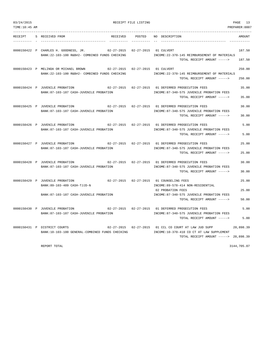| 03/24/2015<br>TIME:10:45 AM |  | RECEIPT FILE LISTING<br>PREPARER: 0007                                                   |                                   |                  |                                                                                                                                             |                  |  |  |
|-----------------------------|--|------------------------------------------------------------------------------------------|-----------------------------------|------------------|---------------------------------------------------------------------------------------------------------------------------------------------|------------------|--|--|
| RECEIPT                     |  | S RECEIVED FROM                                                                          | RECEIVED                          | POSTED           | NO DESCRIPTION                                                                                                                              | AMOUNT           |  |  |
|                             |  | 0000150422 P CHARLES H. GOODNESS, JR.<br>BANK: 22-103-100 R&B#2- COMBINED FUNDS CHECKING | 02-27-2015                        | $02 - 27 - 2015$ | 01 CULVERT<br>INCOME: 22-370-145 REIMBURSEMENT OF MATERIALS<br>TOTAL RECEIPT AMOUNT ----->                                                  | 187.50<br>187.50 |  |  |
|                             |  | 0000150423 P MELINDA OR MICHAEL BROWN<br>BANK: 22-103-100 R&B#2- COMBINED FUNDS CHECKING | $02 - 27 - 2015$                  |                  | 02-27-2015 01 CULVERT<br>INCOME: 22-370-145 REIMBURSEMENT OF MATERIALS<br>TOTAL RECEIPT AMOUNT ----->                                       | 250.00<br>250.00 |  |  |
|                             |  | 0000150424 P JUVENILE PROBATION<br>BANK:87-103-187 CASH-JUVENILE PROBATION               |                                   |                  | 02-27-2015 02-27-2015 01 DEFERRED PROSECUTION FEES<br>INCOME:87-340-575 JUVENILE PROBATION FEES<br>TOTAL RECEIPT AMOUNT ----->              | 35.00<br>35.00   |  |  |
|                             |  | 0000150425 P JUVENILE PROBATION<br>BANK:87-103-187 CASH-JUVENILE PROBATION               |                                   |                  | 02-27-2015  02-27-2015  01 DEFERRED PROSECUTION FEES<br>INCOME:87-340-575 JUVENILE PROBATION FEES<br>TOTAL RECEIPT AMOUNT ----->            | 30.00<br>30.00   |  |  |
|                             |  | 0000150426 P JUVENILE PROBATION<br>BANK:87-103-187 CASH-JUVENILE PROBATION               | $02 - 27 - 2015$ $02 - 27 - 2015$ |                  | 01 DEFERRED PROSECUTION FEES<br>INCOME:87-340-575 JUVENILE PROBATION FEES<br>TOTAL RECEIPT AMOUNT ----->                                    | 5.00<br>5.00     |  |  |
|                             |  | 0000150427 P JUVENILE PROBATION<br>BANK:87-103-187 CASH-JUVENILE PROBATION               | $02 - 27 - 2015$ $02 - 27 - 2015$ |                  | 01 DEFERRED PROSECUTION FEES<br>INCOME:87-340-575 JUVENILE PROBATION FEES<br>TOTAL RECEIPT AMOUNT ----->                                    | 25.00<br>25.00   |  |  |
|                             |  | 0000150428 P JUVENILE PROBATION<br>BANK:87-103-187 CASH-JUVENILE PROBATION               |                                   |                  | 02-27-2015  02-27-2015  01 DEFERRED PROSECUTION FEES<br>INCOME:87-340-575 JUVENILE PROBATION FEES<br>TOTAL RECEIPT AMOUNT ----->            | 30.00<br>30.00   |  |  |
|                             |  | 0000150429 P JUVENILE PROBATION<br>BANK:89-103-489 CASH-TJJD-N                           |                                   |                  | 02-27-2015  02-27-2015  01 COUNSELING FEES<br>INCOME: 89-578-414 NON-RESIDENTIAL                                                            | 25.00            |  |  |
|                             |  | BANK:87-103-187 CASH-JUVENILE PROBATION                                                  |                                   |                  | 02 PROBATION FEES<br>INCOME:87-340-575 JUVENILE PROBATION FEES<br>TOTAL RECEIPT AMOUNT ----->                                               | 25.00<br>50.00   |  |  |
|                             |  | 0000150430 P JUVENILE PROBATION<br>BANK:87-103-187 CASH-JUVENILE PROBATION               | $02 - 27 - 2015$ $02 - 27 - 2015$ |                  | 01 DEFERRED PROSECUTION FEES<br>INCOME:87-340-575 JUVENILE PROBATION FEES<br>TOTAL RECEIPT AMOUNT ----->                                    | 5.00<br>5.00     |  |  |
|                             |  | 0000150431 P DISTRICT COURTS<br>BANK:10-103-100 GENERAL-COMBINED FUNDS CHECKING          |                                   |                  | 02-27-2015 02-27-2015 01 CCL CO COURT AT LAW JUD SUPP<br>INCOME:10-370-410 CO CT AT LAW SUPPLEMENT<br>TOTAL RECEIPT AMOUNT -----> 20,898.39 | 20,898.39        |  |  |

REPORT TOTAL 3144,705.07